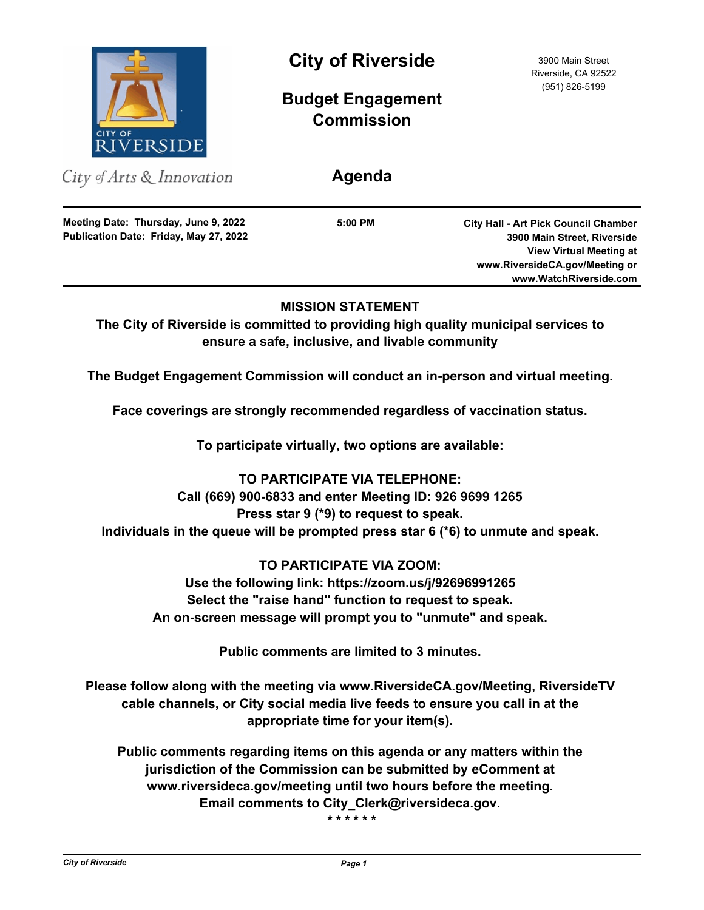

City of Arts & Innovation

**Publication Date: Friday, May 27, 2022 Meeting Date: Thursday, June 9, 2022**

**City of Riverside** 3900 Main Street

**Budget Engagement Commission**

**Agenda**

**5:00 PM**

**City Hall - Art Pick Council Chamber 3900 Main Street, Riverside View Virtual Meeting at www.RiversideCA.gov/Meeting or www.WatchRiverside.com**

# **MISSION STATEMENT**

**The City of Riverside is committed to providing high quality municipal services to ensure a safe, inclusive, and livable community**

**The Budget Engagement Commission will conduct an in-person and virtual meeting.**

**Face coverings are strongly recommended regardless of vaccination status.**

**To participate virtually, two options are available:** 

**TO PARTICIPATE VIA TELEPHONE: Call (669) 900-6833 and enter Meeting ID: 926 9699 1265 Press star 9 (\*9) to request to speak. Individuals in the queue will be prompted press star 6 (\*6) to unmute and speak.**

**TO PARTICIPATE VIA ZOOM: Use the following link: https://zoom.us/j/92696991265 Select the "raise hand" function to request to speak. An on-screen message will prompt you to "unmute" and speak.**

**Public comments are limited to 3 minutes.**

**Please follow along with the meeting via www.RiversideCA.gov/Meeting, RiversideTV cable channels, or City social media live feeds to ensure you call in at the appropriate time for your item(s).**

**Public comments regarding items on this agenda or any matters within the jurisdiction of the Commission can be submitted by eComment at www.riversideca.gov/meeting until two hours before the meeting. Email comments to City\_Clerk@riversideca.gov.** 

 **\* \* \* \* \* \***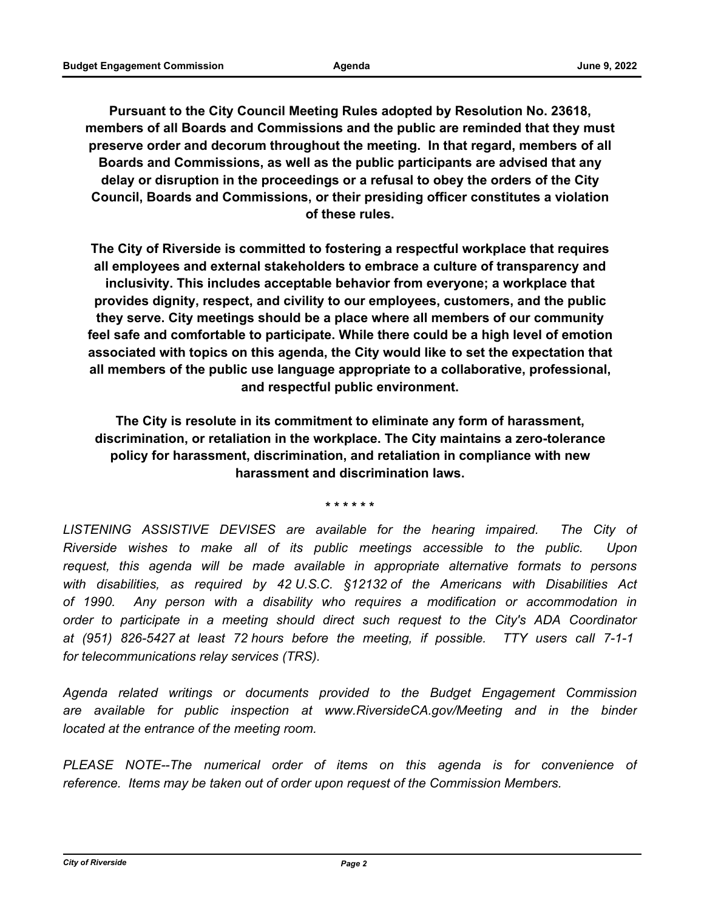**Pursuant to the City Council Meeting Rules adopted by Resolution No. 23618, members of all Boards and Commissions and the public are reminded that they must preserve order and decorum throughout the meeting. In that regard, members of all Boards and Commissions, as well as the public participants are advised that any delay or disruption in the proceedings or a refusal to obey the orders of the City Council, Boards and Commissions, or their presiding officer constitutes a violation of these rules.** 

**The City of Riverside is committed to fostering a respectful workplace that requires all employees and external stakeholders to embrace a culture of transparency and inclusivity. This includes acceptable behavior from everyone; a workplace that provides dignity, respect, and civility to our employees, customers, and the public they serve. City meetings should be a place where all members of our community feel safe and comfortable to participate. While there could be a high level of emotion associated with topics on this agenda, the City would like to set the expectation that all members of the public use language appropriate to a collaborative, professional, and respectful public environment.**

**The City is resolute in its commitment to eliminate any form of harassment, discrimination, or retaliation in the workplace. The City maintains a zero-tolerance policy for harassment, discrimination, and retaliation in compliance with new harassment and discrimination laws.**

**\* \* \* \* \* \***

LISTENING ASSISTIVE DEVISES are available for the hearing impaired. The City of *Riverside wishes to make all of its public meetings accessible to the public. Upon request, this agenda will be made available in appropriate alternative formats to persons with disabilities, as required by 42 U.S.C. §12132 of the Americans with Disabilities Act of 1990. Any person with a disability who requires a modification or accommodation in order to participate in a meeting should direct such request to the City's ADA Coordinator at (951) 826-5427 at least 72 hours before the meeting, if possible. TTY users call 7-1-1 for telecommunications relay services (TRS).*

*Agenda related writings or documents provided to the Budget Engagement Commission*  are available for public inspection at www.RiversideCA.gov/Meeting and in the binder *located at the entrance of the meeting room.*

*PLEASE NOTE--The numerical order of items on this agenda is for convenience of reference. Items may be taken out of order upon request of the Commission Members.*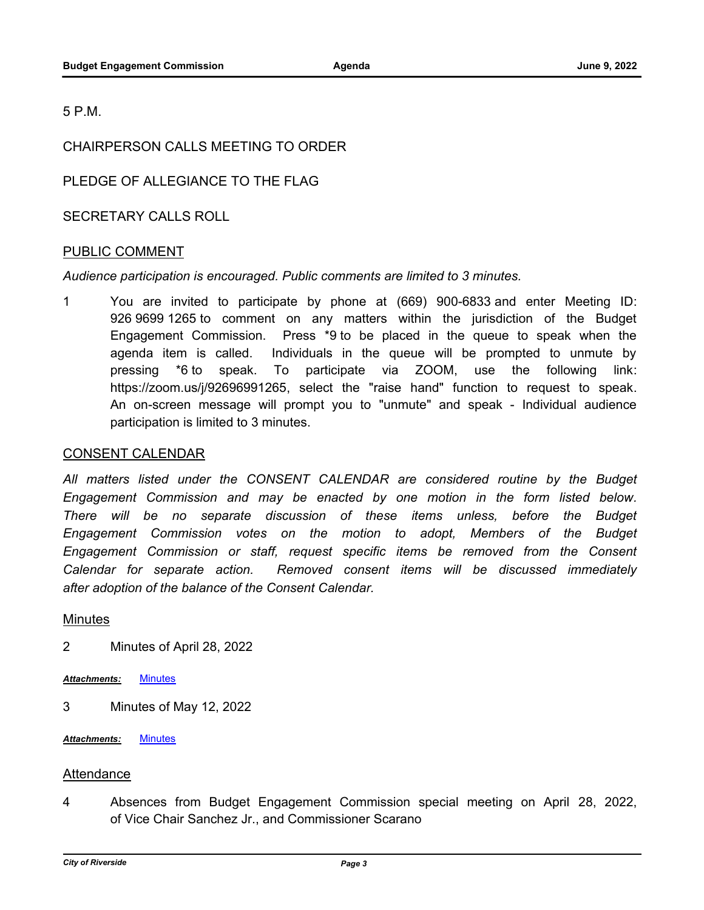5 P.M.

# CHAIRPERSON CALLS MEETING TO ORDER

PLEDGE OF ALLEGIANCE TO THE FLAG

SECRETARY CALLS ROLL

## PUBLIC COMMENT

### *Audience participation is encouraged. Public comments are limited to 3 minutes.*

1 You are invited to participate by phone at (669) 900-6833 and enter Meeting ID: 926 9699 1265 to comment on any matters within the jurisdiction of the Budget Engagement Commission. Press \*9 to be placed in the queue to speak when the agenda item is called. Individuals in the queue will be prompted to unmute by pressing \*6 to speak. To participate via ZOOM, use the following link: https://zoom.us/j/92696991265, select the "raise hand" function to request to speak. An on-screen message will prompt you to "unmute" and speak - Individual audience participation is limited to 3 minutes.

#### CONSENT CALENDAR

All matters listed under the CONSENT CALENDAR are considered routine by the Budget *Engagement Commission and may be enacted by one motion in the form listed below.*  There will be no separate discussion of these items unless, before the Budget *Engagement Commission votes on the motion to adopt, Members of the Budget Engagement Commission or staff, request specific items be removed from the Consent Calendar for separate action. Removed consent items will be discussed immediately after adoption of the balance of the Consent Calendar.*

#### **Minutes**

- 2 Minutes of April 28, 2022
- *Attachments:* [Minutes](http://riversideca.legistar.com/gateway.aspx?M=F&ID=4cbb349e-767c-4654-86ce-4e8c4449f04c.docx)
- 3 Minutes of May 12, 2022
- *Attachments:* [Minutes](http://riversideca.legistar.com/gateway.aspx?M=F&ID=387bf706-32b4-4972-8db2-144b6bd215d3.docx)

### Attendance

4 Absences from Budget Engagement Commission special meeting on April 28, 2022, of Vice Chair Sanchez Jr., and Commissioner Scarano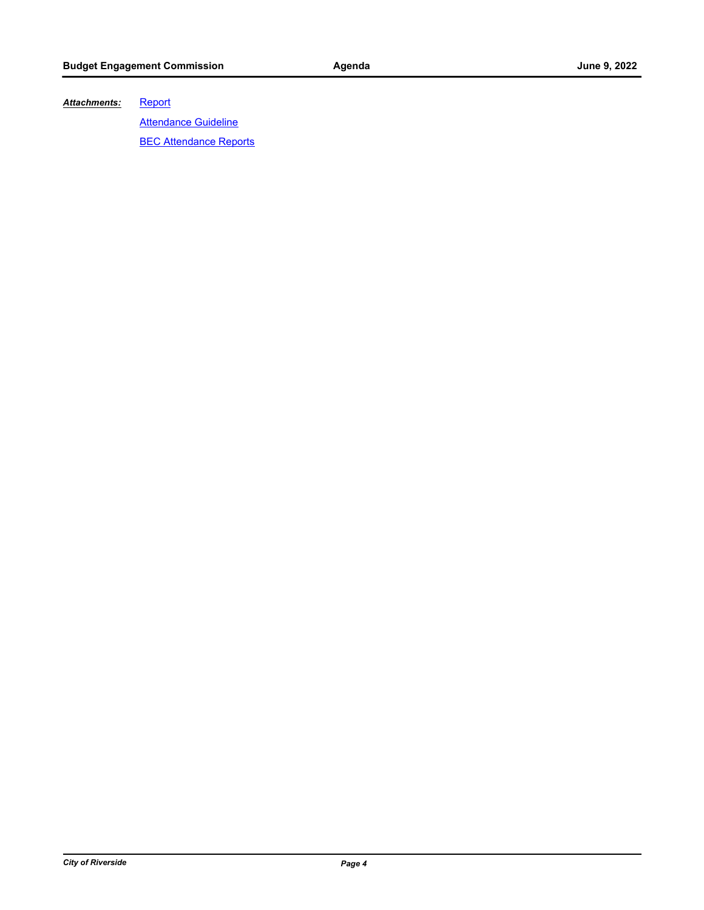#### **[Report](http://riversideca.legistar.com/gateway.aspx?M=F&ID=f43063b6-c4b7-4e9a-a57e-1fa4a66f6bc1.docx)** *Attachments:*

**[Attendance Guideline](http://riversideca.legistar.com/gateway.aspx?M=F&ID=e03b8692-ac5b-453a-a84b-4c801781774a.docx)** 

**[BEC Attendance Reports](http://riversideca.legistar.com/gateway.aspx?M=F&ID=a8a56fa0-4abd-4050-8c6f-2267be27057e.pdf)**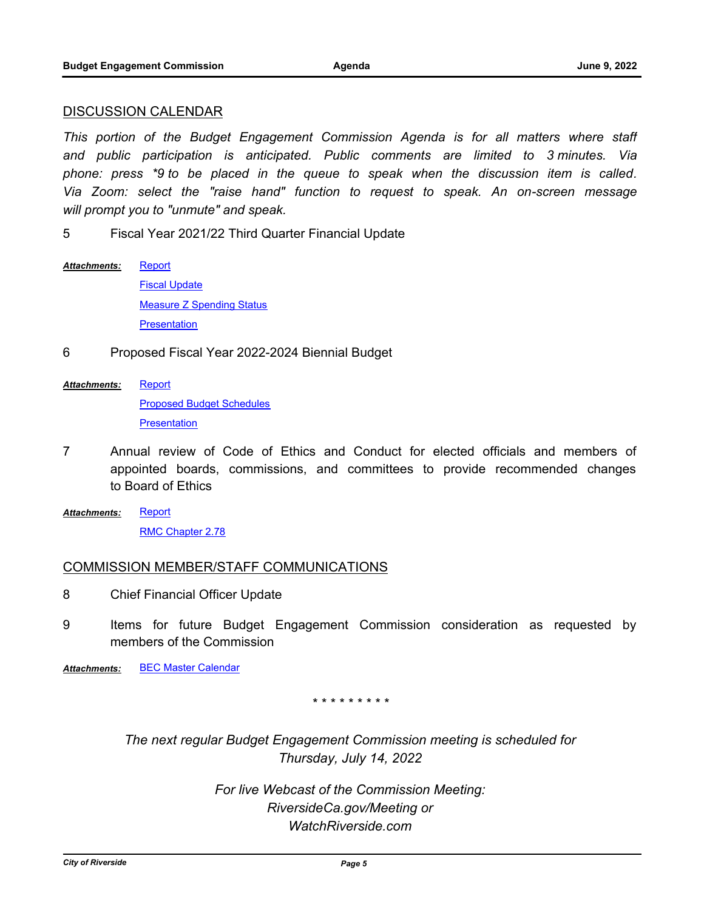#### DISCUSSION CALENDAR

*This portion of the Budget Engagement Commission Agenda is for all matters where staff and public participation is anticipated. Public comments are limited to 3 minutes. Via phone: press \*9 to be placed in the queue to speak when the discussion item is called. Via Zoom: select the "raise hand" function to request to speak. An on-screen message will prompt you to "unmute" and speak.*

5 Fiscal Year 2021/22 Third Quarter Financial Update

- **[Report](http://riversideca.legistar.com/gateway.aspx?M=F&ID=523ed16a-8dbf-4b41-a572-4f3594c51a0b.docx)** [Fiscal Update](http://riversideca.legistar.com/gateway.aspx?M=F&ID=d91a8c53-ce80-4a84-b75d-5a3c54da5b1e.pdf) **[Measure Z Spending Status](http://riversideca.legistar.com/gateway.aspx?M=F&ID=fda9bc4c-c86f-4bc7-80e8-b086d6edbb93.pdf) [Presentation](http://riversideca.legistar.com/gateway.aspx?M=F&ID=1832d88b-3c84-4ebc-b0fb-8ae5dd2ed9c4.pdf)** *Attachments:*
- 6 Proposed Fiscal Year 2022-2024 Biennial Budget
- **[Report](http://riversideca.legistar.com/gateway.aspx?M=F&ID=a2fb4d30-bb3b-4537-9448-186e35ddd239.docx)** *Attachments:*

[Proposed Budget Schedules](http://riversideca.legistar.com/gateway.aspx?M=F&ID=8f52aec7-be69-4e3a-a8ac-732eba482b27.pdf) **[Presentation](http://riversideca.legistar.com/gateway.aspx?M=F&ID=30df7a2c-64ea-40fd-9ecd-557aed831d06.pdf)** 

- 7 Annual review of Code of Ethics and Conduct for elected officials and members of appointed boards, commissions, and committees to provide recommended changes to Board of Ethics
- **[Report](http://riversideca.legistar.com/gateway.aspx?M=F&ID=70a97e95-5e02-4a41-b739-b94571dbe6f7.docx)** [RMC Chapter 2.78](http://riversideca.legistar.com/gateway.aspx?M=F&ID=6bb9ed6d-7acb-42c9-b2d4-34633c86eb64.pdf) *Attachments:*

### COMMISSION MEMBER/STAFF COMMUNICATIONS

- 8 Chief Financial Officer Update
- 9 Items for future Budget Engagement Commission consideration as requested by members of the Commission

*Attachments:* [BEC Master Calendar](http://riversideca.legistar.com/gateway.aspx?M=F&ID=b52b39a1-f050-4dc8-a6be-2c115b2c2419.pdf)

#### *\* \* \* \* \* \* \* \* \**

*The next regular Budget Engagement Commission meeting is scheduled for Thursday, July 14, 2022*

> *For live Webcast of the Commission Meeting: RiversideCa.gov/Meeting or WatchRiverside.com*